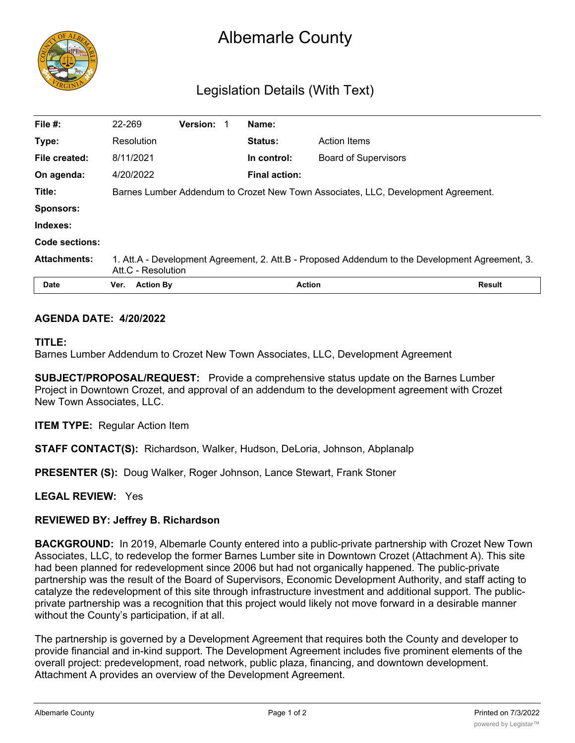

# Albemarle County

# Legislation Details (With Text)

| File #:             | 22-269                                                                                                                | <b>Version:</b> |  |  | Name:                |                             |               |
|---------------------|-----------------------------------------------------------------------------------------------------------------------|-----------------|--|--|----------------------|-----------------------------|---------------|
| Type:               | Resolution                                                                                                            |                 |  |  | <b>Status:</b>       | <b>Action Items</b>         |               |
| File created:       | 8/11/2021                                                                                                             |                 |  |  | In control:          | <b>Board of Supervisors</b> |               |
| On agenda:          | 4/20/2022                                                                                                             |                 |  |  | <b>Final action:</b> |                             |               |
| Title:              | Barnes Lumber Addendum to Crozet New Town Associates, LLC, Development Agreement.                                     |                 |  |  |                      |                             |               |
| <b>Sponsors:</b>    |                                                                                                                       |                 |  |  |                      |                             |               |
| Indexes:            |                                                                                                                       |                 |  |  |                      |                             |               |
| Code sections:      |                                                                                                                       |                 |  |  |                      |                             |               |
| <b>Attachments:</b> | 1. Att.A - Development Agreement, 2. Att.B - Proposed Addendum to the Development Agreement, 3.<br>Att.C - Resolution |                 |  |  |                      |                             |               |
| <b>Date</b>         | <b>Action By</b><br>Ver.                                                                                              |                 |  |  |                      | <b>Action</b>               | <b>Result</b> |

#### **AGENDA DATE: 4/20/2022**

#### **TITLE:**

Barnes Lumber Addendum to Crozet New Town Associates, LLC, Development Agreement

**SUBJECT/PROPOSAL/REQUEST:** Provide a comprehensive status update on the Barnes Lumber Project in Downtown Crozet, and approval of an addendum to the development agreement with Crozet New Town Associates, LLC.

**ITEM TYPE:** Regular Action Item

**STAFF CONTACT(S):** Richardson, Walker, Hudson, DeLoria, Johnson, Abplanalp

**PRESENTER (S):** Doug Walker, Roger Johnson, Lance Stewart, Frank Stoner

**LEGAL REVIEW:** Yes

# **REVIEWED BY: Jeffrey B. Richardson**

**BACKGROUND:** In 2019, Albemarle County entered into a public-private partnership with Crozet New Town Associates, LLC, to redevelop the former Barnes Lumber site in Downtown Crozet (Attachment A). This site had been planned for redevelopment since 2006 but had not organically happened. The public-private partnership was the result of the Board of Supervisors, Economic Development Authority, and staff acting to catalyze the redevelopment of this site through infrastructure investment and additional support. The publicprivate partnership was a recognition that this project would likely not move forward in a desirable manner without the County's participation, if at all.

The partnership is governed by a Development Agreement that requires both the County and developer to provide financial and in-kind support. The Development Agreement includes five prominent elements of the overall project: predevelopment, road network, public plaza, financing, and downtown development. Attachment A provides an overview of the Development Agreement.